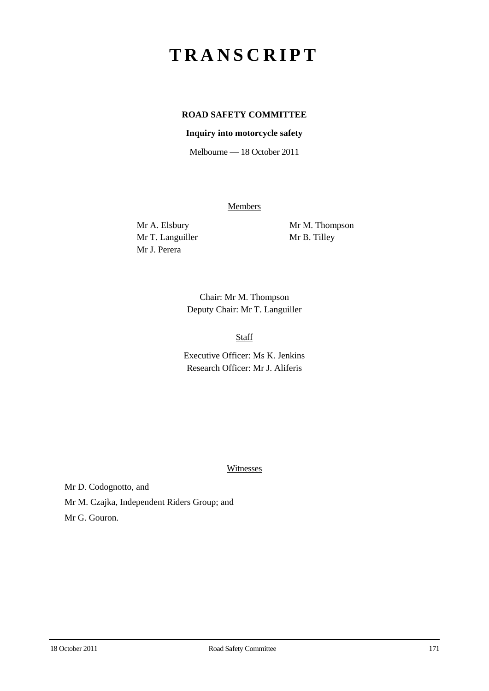# **TRANSCRIPT**

# **ROAD SAFETY COMMITTEE**

#### **Inquiry into motorcycle safety**

Melbourne — 18 October 2011

**Members** 

Mr T. Languiller Mr B. Tilley Mr J. Perera

Mr A. Elsbury Mr M. Thompson

Chair: Mr M. Thompson Deputy Chair: Mr T. Languiller

Staff

Executive Officer: Ms K. Jenkins Research Officer: Mr J. Aliferis

**Witnesses** 

Mr D. Codognotto, and Mr M. Czajka, Independent Riders Group; and Mr G. Gouron.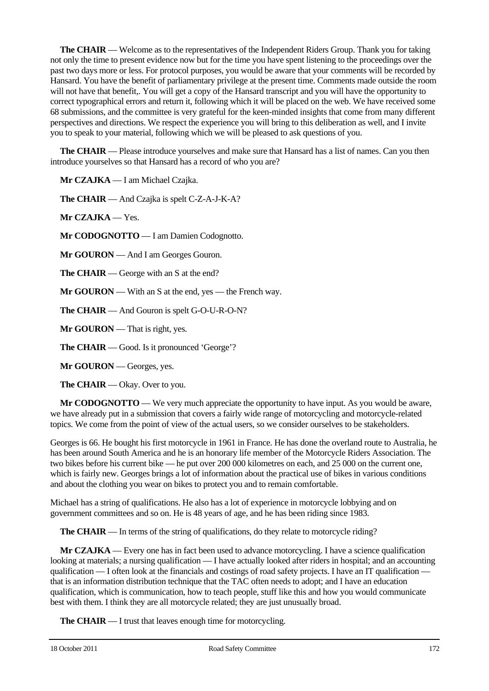**The CHAIR** — Welcome as to the representatives of the Independent Riders Group. Thank you for taking not only the time to present evidence now but for the time you have spent listening to the proceedings over the past two days more or less. For protocol purposes, you would be aware that your comments will be recorded by Hansard. You have the benefit of parliamentary privilege at the present time. Comments made outside the room will not have that benefit,. You will get a copy of the Hansard transcript and you will have the opportunity to correct typographical errors and return it, following which it will be placed on the web. We have received some 68 submissions, and the committee is very grateful for the keen-minded insights that come from many different perspectives and directions. We respect the experience you will bring to this deliberation as well, and I invite you to speak to your material, following which we will be pleased to ask questions of you.

**The CHAIR** — Please introduce yourselves and make sure that Hansard has a list of names. Can you then introduce yourselves so that Hansard has a record of who you are?

**Mr CZAJKA** — I am Michael Czajka.

**The CHAIR** — And Czajka is spelt C-Z-A-J-K-A?

**Mr CZAJKA** — Yes.

**Mr CODOGNOTTO** — I am Damien Codognotto.

**Mr GOURON** — And I am Georges Gouron.

**The CHAIR** — George with an S at the end?

**Mr GOURON** — With an S at the end, yes — the French way.

**The CHAIR** — And Gouron is spelt G-O-U-R-O-N?

**Mr GOURON** — That is right, yes.

**The CHAIR** — Good. Is it pronounced 'George'?

**Mr GOURON** — Georges, yes.

**The CHAIR** — Okay. Over to you.

**Mr CODOGNOTTO** — We very much appreciate the opportunity to have input. As you would be aware, we have already put in a submission that covers a fairly wide range of motorcycling and motorcycle-related topics. We come from the point of view of the actual users, so we consider ourselves to be stakeholders.

Georges is 66. He bought his first motorcycle in 1961 in France. He has done the overland route to Australia, he has been around South America and he is an honorary life member of the Motorcycle Riders Association. The two bikes before his current bike — he put over 200 000 kilometres on each, and 25 000 on the current one, which is fairly new. Georges brings a lot of information about the practical use of bikes in various conditions and about the clothing you wear on bikes to protect you and to remain comfortable.

Michael has a string of qualifications. He also has a lot of experience in motorcycle lobbying and on government committees and so on. He is 48 years of age, and he has been riding since 1983.

**The CHAIR** — In terms of the string of qualifications, do they relate to motorcycle riding?

**Mr CZAJKA** — Every one has in fact been used to advance motorcycling. I have a science qualification looking at materials; a nursing qualification — I have actually looked after riders in hospital; and an accounting qualification — I often look at the financials and costings of road safety projects. I have an IT qualification that is an information distribution technique that the TAC often needs to adopt; and I have an education qualification, which is communication, how to teach people, stuff like this and how you would communicate best with them. I think they are all motorcycle related; they are just unusually broad.

**The CHAIR** — I trust that leaves enough time for motorcycling.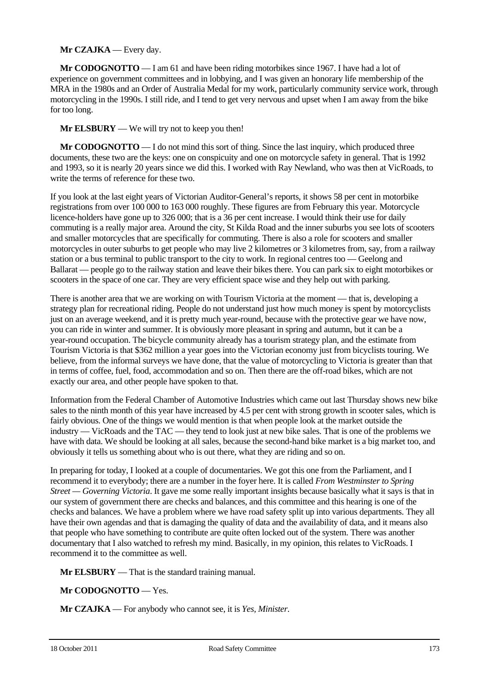#### **Mr CZAJKA** — Every day.

**Mr CODOGNOTTO** — I am 61 and have been riding motorbikes since 1967. I have had a lot of experience on government committees and in lobbying, and I was given an honorary life membership of the MRA in the 1980s and an Order of Australia Medal for my work, particularly community service work, through motorcycling in the 1990s. I still ride, and I tend to get very nervous and upset when I am away from the bike for too long.

#### **Mr ELSBURY** — We will try not to keep you then!

**Mr CODOGNOTTO** — I do not mind this sort of thing. Since the last inquiry, which produced three documents, these two are the keys: one on conspicuity and one on motorcycle safety in general. That is 1992 and 1993, so it is nearly 20 years since we did this. I worked with Ray Newland, who was then at VicRoads, to write the terms of reference for these two.

If you look at the last eight years of Victorian Auditor-General's reports, it shows 58 per cent in motorbike registrations from over 100 000 to 163 000 roughly. These figures are from February this year. Motorcycle licence-holders have gone up to 326 000; that is a 36 per cent increase. I would think their use for daily commuting is a really major area. Around the city, St Kilda Road and the inner suburbs you see lots of scooters and smaller motorcycles that are specifically for commuting. There is also a role for scooters and smaller motorcycles in outer suburbs to get people who may live 2 kilometres or 3 kilometres from, say, from a railway station or a bus terminal to public transport to the city to work. In regional centres too — Geelong and Ballarat — people go to the railway station and leave their bikes there. You can park six to eight motorbikes or scooters in the space of one car. They are very efficient space wise and they help out with parking.

There is another area that we are working on with Tourism Victoria at the moment — that is, developing a strategy plan for recreational riding. People do not understand just how much money is spent by motorcyclists just on an average weekend, and it is pretty much year-round, because with the protective gear we have now, you can ride in winter and summer. It is obviously more pleasant in spring and autumn, but it can be a year-round occupation. The bicycle community already has a tourism strategy plan, and the estimate from Tourism Victoria is that \$362 million a year goes into the Victorian economy just from bicyclists touring. We believe, from the informal surveys we have done, that the value of motorcycling to Victoria is greater than that in terms of coffee, fuel, food, accommodation and so on. Then there are the off-road bikes, which are not exactly our area, and other people have spoken to that.

Information from the Federal Chamber of Automotive Industries which came out last Thursday shows new bike sales to the ninth month of this year have increased by 4.5 per cent with strong growth in scooter sales, which is fairly obvious. One of the things we would mention is that when people look at the market outside the industry — VicRoads and the TAC — they tend to look just at new bike sales. That is one of the problems we have with data. We should be looking at all sales, because the second-hand bike market is a big market too, and obviously it tells us something about who is out there, what they are riding and so on.

In preparing for today, I looked at a couple of documentaries. We got this one from the Parliament, and I recommend it to everybody; there are a number in the foyer here. It is called *From Westminster to Spring Street — Governing Victoria*. It gave me some really important insights because basically what it says is that in our system of government there are checks and balances, and this committee and this hearing is one of the checks and balances. We have a problem where we have road safety split up into various departments. They all have their own agendas and that is damaging the quality of data and the availability of data, and it means also that people who have something to contribute are quite often locked out of the system. There was another documentary that I also watched to refresh my mind. Basically, in my opinion, this relates to VicRoads. I recommend it to the committee as well.

**Mr ELSBURY** — That is the standard training manual.

## **Mr CODOGNOTTO** — Yes.

**Mr CZAJKA** — For anybody who cannot see, it is *Yes, Minister*.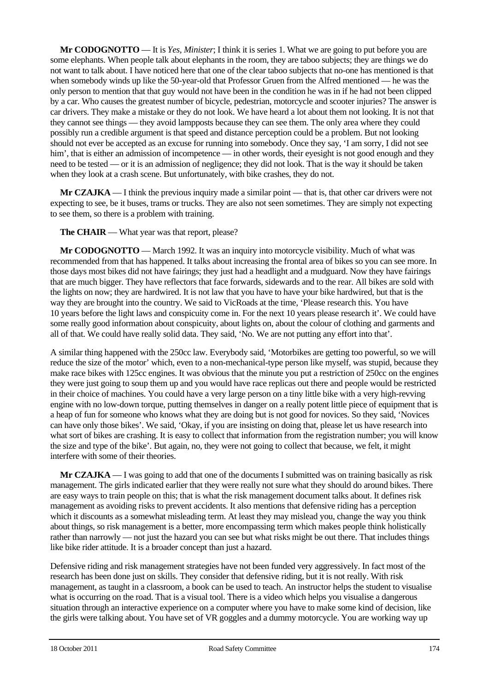**Mr CODOGNOTTO** — It is *Yes, Minister*; I think it is series 1. What we are going to put before you are some elephants. When people talk about elephants in the room, they are taboo subjects; they are things we do not want to talk about. I have noticed here that one of the clear taboo subjects that no-one has mentioned is that when somebody winds up like the 50-year-old that Professor Gruen from the Alfred mentioned — he was the only person to mention that that guy would not have been in the condition he was in if he had not been clipped by a car. Who causes the greatest number of bicycle, pedestrian, motorcycle and scooter injuries? The answer is car drivers. They make a mistake or they do not look. We have heard a lot about them not looking. It is not that they cannot see things — they avoid lampposts because they can see them. The only area where they could possibly run a credible argument is that speed and distance perception could be a problem. But not looking should not ever be accepted as an excuse for running into somebody. Once they say, 'I am sorry, I did not see him', that is either an admission of incompetence — in other words, their eyesight is not good enough and they need to be tested — or it is an admission of negligence; they did not look. That is the way it should be taken when they look at a crash scene. But unfortunately, with bike crashes, they do not.

**Mr CZAJKA** — I think the previous inquiry made a similar point — that is, that other car drivers were not expecting to see, be it buses, trams or trucks. They are also not seen sometimes. They are simply not expecting to see them, so there is a problem with training.

**The CHAIR** — What year was that report, please?

**Mr CODOGNOTTO** — March 1992. It was an inquiry into motorcycle visibility. Much of what was recommended from that has happened. It talks about increasing the frontal area of bikes so you can see more. In those days most bikes did not have fairings; they just had a headlight and a mudguard. Now they have fairings that are much bigger. They have reflectors that face forwards, sidewards and to the rear. All bikes are sold with the lights on now; they are hardwired. It is not law that you have to have your bike hardwired, but that is the way they are brought into the country. We said to VicRoads at the time, 'Please research this. You have 10 years before the light laws and conspicuity come in. For the next 10 years please research it'. We could have some really good information about conspicuity, about lights on, about the colour of clothing and garments and all of that. We could have really solid data. They said, 'No. We are not putting any effort into that'.

A similar thing happened with the 250cc law. Everybody said, 'Motorbikes are getting too powerful, so we will reduce the size of the motor' which, even to a non-mechanical-type person like myself, was stupid, because they make race bikes with 125cc engines. It was obvious that the minute you put a restriction of 250cc on the engines they were just going to soup them up and you would have race replicas out there and people would be restricted in their choice of machines. You could have a very large person on a tiny little bike with a very high-revving engine with no low-down torque, putting themselves in danger on a really potent little piece of equipment that is a heap of fun for someone who knows what they are doing but is not good for novices. So they said, 'Novices can have only those bikes'. We said, 'Okay, if you are insisting on doing that, please let us have research into what sort of bikes are crashing. It is easy to collect that information from the registration number; you will know the size and type of the bike'. But again, no, they were not going to collect that because, we felt, it might interfere with some of their theories.

**Mr CZAJKA** — I was going to add that one of the documents I submitted was on training basically as risk management. The girls indicated earlier that they were really not sure what they should do around bikes. There are easy ways to train people on this; that is what the risk management document talks about. It defines risk management as avoiding risks to prevent accidents. It also mentions that defensive riding has a perception which it discounts as a somewhat misleading term. At least they may mislead you, change the way you think about things, so risk management is a better, more encompassing term which makes people think holistically rather than narrowly — not just the hazard you can see but what risks might be out there. That includes things like bike rider attitude. It is a broader concept than just a hazard.

Defensive riding and risk management strategies have not been funded very aggressively. In fact most of the research has been done just on skills. They consider that defensive riding, but it is not really. With risk management, as taught in a classroom, a book can be used to teach. An instructor helps the student to visualise what is occurring on the road. That is a visual tool. There is a video which helps you visualise a dangerous situation through an interactive experience on a computer where you have to make some kind of decision, like the girls were talking about. You have set of VR goggles and a dummy motorcycle. You are working way up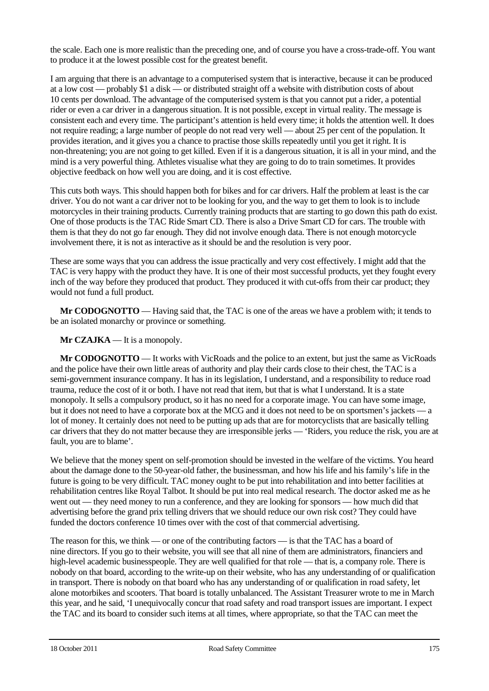the scale. Each one is more realistic than the preceding one, and of course you have a cross-trade-off. You want to produce it at the lowest possible cost for the greatest benefit.

I am arguing that there is an advantage to a computerised system that is interactive, because it can be produced at a low cost — probably \$1 a disk — or distributed straight off a website with distribution costs of about 10 cents per download. The advantage of the computerised system is that you cannot put a rider, a potential rider or even a car driver in a dangerous situation. It is not possible, except in virtual reality. The message is consistent each and every time. The participant's attention is held every time; it holds the attention well. It does not require reading; a large number of people do not read very well — about 25 per cent of the population. It provides iteration, and it gives you a chance to practise those skills repeatedly until you get it right. It is non-threatening; you are not going to get killed. Even if it is a dangerous situation, it is all in your mind, and the mind is a very powerful thing. Athletes visualise what they are going to do to train sometimes. It provides objective feedback on how well you are doing, and it is cost effective.

This cuts both ways. This should happen both for bikes and for car drivers. Half the problem at least is the car driver. You do not want a car driver not to be looking for you, and the way to get them to look is to include motorcycles in their training products. Currently training products that are starting to go down this path do exist. One of those products is the TAC Ride Smart CD. There is also a Drive Smart CD for cars. The trouble with them is that they do not go far enough. They did not involve enough data. There is not enough motorcycle involvement there, it is not as interactive as it should be and the resolution is very poor.

These are some ways that you can address the issue practically and very cost effectively. I might add that the TAC is very happy with the product they have. It is one of their most successful products, yet they fought every inch of the way before they produced that product. They produced it with cut-offs from their car product; they would not fund a full product.

**Mr CODOGNOTTO** — Having said that, the TAC is one of the areas we have a problem with; it tends to be an isolated monarchy or province or something.

#### **Mr CZAJKA** — It is a monopoly.

**Mr CODOGNOTTO** — It works with VicRoads and the police to an extent, but just the same as VicRoads and the police have their own little areas of authority and play their cards close to their chest, the TAC is a semi-government insurance company. It has in its legislation, I understand, and a responsibility to reduce road trauma, reduce the cost of it or both. I have not read that item, but that is what I understand. It is a state monopoly. It sells a compulsory product, so it has no need for a corporate image. You can have some image, but it does not need to have a corporate box at the MCG and it does not need to be on sportsmen's jackets — a lot of money. It certainly does not need to be putting up ads that are for motorcyclists that are basically telling car drivers that they do not matter because they are irresponsible jerks — 'Riders, you reduce the risk, you are at fault, you are to blame'.

We believe that the money spent on self-promotion should be invested in the welfare of the victims. You heard about the damage done to the 50-year-old father, the businessman, and how his life and his family's life in the future is going to be very difficult. TAC money ought to be put into rehabilitation and into better facilities at rehabilitation centres like Royal Talbot. It should be put into real medical research. The doctor asked me as he went out — they need money to run a conference, and they are looking for sponsors — how much did that advertising before the grand prix telling drivers that we should reduce our own risk cost? They could have funded the doctors conference 10 times over with the cost of that commercial advertising.

The reason for this, we think — or one of the contributing factors — is that the TAC has a board of nine directors. If you go to their website, you will see that all nine of them are administrators, financiers and high-level academic businesspeople. They are well qualified for that role — that is, a company role. There is nobody on that board, according to the write-up on their website, who has any understanding of or qualification in transport. There is nobody on that board who has any understanding of or qualification in road safety, let alone motorbikes and scooters. That board is totally unbalanced. The Assistant Treasurer wrote to me in March this year, and he said, 'I unequivocally concur that road safety and road transport issues are important. I expect the TAC and its board to consider such items at all times, where appropriate, so that the TAC can meet the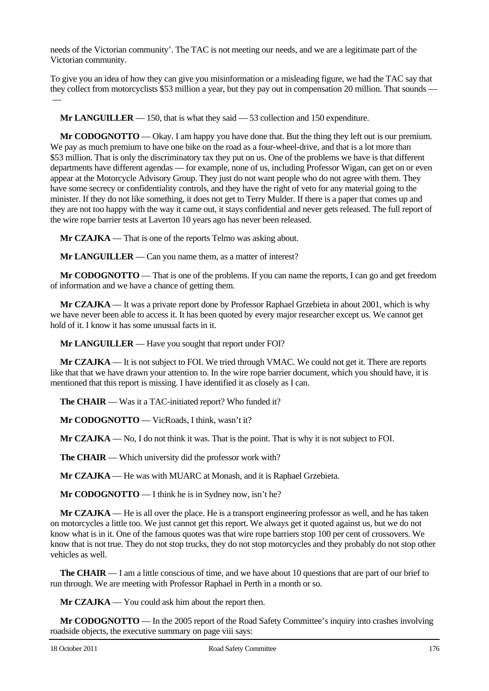needs of the Victorian community'. The TAC is not meeting our needs, and we are a legitimate part of the Victorian community.

To give you an idea of how they can give you misinformation or a misleading figure, we had the TAC say that they collect from motorcyclists \$53 million a year, but they pay out in compensation 20 million. That sounds —

**Mr LANGUILLER** — 150, that is what they said — 53 collection and 150 expenditure.

**Mr CODOGNOTTO** — Okay. I am happy you have done that. But the thing they left out is our premium. We pay as much premium to have one bike on the road as a four-wheel-drive, and that is a lot more than \$53 million. That is only the discriminatory tax they put on us. One of the problems we have is that different departments have different agendas — for example, none of us, including Professor Wigan, can get on or even appear at the Motorcycle Advisory Group. They just do not want people who do not agree with them. They have some secrecy or confidentiality controls, and they have the right of veto for any material going to the minister. If they do not like something, it does not get to Terry Mulder. If there is a paper that comes up and they are not too happy with the way it came out, it stays confidential and never gets released. The full report of the wire rope barrier tests at Laverton 10 years ago has never been released.

**Mr CZAJKA** — That is one of the reports Telmo was asking about.

**Mr LANGUILLER** — Can you name them, as a matter of interest?

**Mr CODOGNOTTO** — That is one of the problems. If you can name the reports, I can go and get freedom of information and we have a chance of getting them.

**Mr CZAJKA** — It was a private report done by Professor Raphael Grzebieta in about 2001, which is why we have never been able to access it. It has been quoted by every major researcher except us. We cannot get hold of it. I know it has some unusual facts in it.

**Mr LANGUILLER** — Have you sought that report under FOI?

**Mr CZAJKA** — It is not subject to FOI. We tried through VMAC. We could not get it. There are reports like that that we have drawn your attention to. In the wire rope barrier document, which you should have, it is mentioned that this report is missing. I have identified it as closely as I can.

**The CHAIR** — Was it a TAC-initiated report? Who funded it?

**Mr CODOGNOTTO** — VicRoads, I think, wasn't it?

**Mr CZAJKA** — No, I do not think it was. That is the point. That is why it is not subject to FOI.

**The CHAIR** — Which university did the professor work with?

**Mr CZAJKA** — He was with MUARC at Monash, and it is Raphael Grzebieta.

**Mr CODOGNOTTO** — I think he is in Sydney now, isn't he?

**Mr CZAJKA** — He is all over the place. He is a transport engineering professor as well, and he has taken on motorcycles a little too. We just cannot get this report. We always get it quoted against us, but we do not know what is in it. One of the famous quotes was that wire rope barriers stop 100 per cent of crossovers. We know that is not true. They do not stop trucks, they do not stop motorcycles and they probably do not stop other vehicles as well.

**The CHAIR** — I am a little conscious of time, and we have about 10 questions that are part of our brief to run through. We are meeting with Professor Raphael in Perth in a month or so.

**Mr CZAJKA** — You could ask him about the report then.

**Mr CODOGNOTTO** — In the 2005 report of the Road Safety Committee's inquiry into crashes involving roadside objects, the executive summary on page viii says:

 $\overline{\phantom{0}}$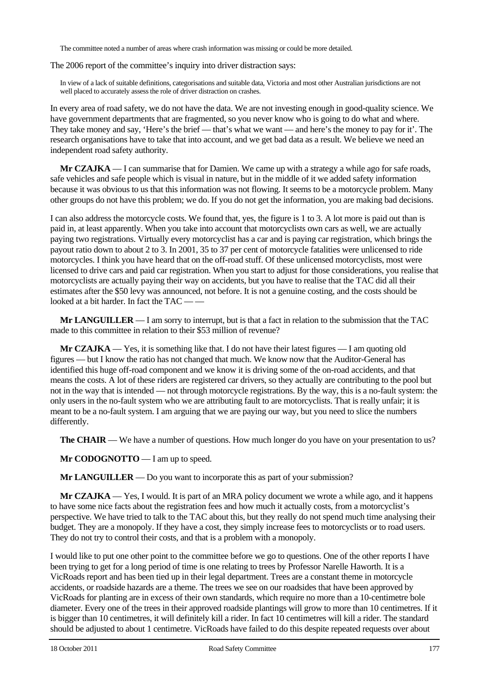The committee noted a number of areas where crash information was missing or could be more detailed.

The 2006 report of the committee's inquiry into driver distraction says:

In view of a lack of suitable definitions, categorisations and suitable data, Victoria and most other Australian jurisdictions are not well placed to accurately assess the role of driver distraction on crashes.

In every area of road safety, we do not have the data. We are not investing enough in good-quality science. We have government departments that are fragmented, so you never know who is going to do what and where. They take money and say, 'Here's the brief — that's what we want — and here's the money to pay for it'. The research organisations have to take that into account, and we get bad data as a result. We believe we need an independent road safety authority.

**Mr CZAJKA** — I can summarise that for Damien. We came up with a strategy a while ago for safe roads, safe vehicles and safe people which is visual in nature, but in the middle of it we added safety information because it was obvious to us that this information was not flowing. It seems to be a motorcycle problem. Many other groups do not have this problem; we do. If you do not get the information, you are making bad decisions.

I can also address the motorcycle costs. We found that, yes, the figure is 1 to 3. A lot more is paid out than is paid in, at least apparently. When you take into account that motorcyclists own cars as well, we are actually paying two registrations. Virtually every motorcyclist has a car and is paying car registration, which brings the payout ratio down to about 2 to 3. In 2001, 35 to 37 per cent of motorcycle fatalities were unlicensed to ride motorcycles. I think you have heard that on the off-road stuff. Of these unlicensed motorcyclists, most were licensed to drive cars and paid car registration. When you start to adjust for those considerations, you realise that motorcyclists are actually paying their way on accidents, but you have to realise that the TAC did all their estimates after the \$50 levy was announced, not before. It is not a genuine costing, and the costs should be looked at a bit harder. In fact the TAC -

**Mr LANGUILLER** — I am sorry to interrupt, but is that a fact in relation to the submission that the TAC made to this committee in relation to their \$53 million of revenue?

**Mr CZAJKA** — Yes, it is something like that. I do not have their latest figures — I am quoting old figures — but I know the ratio has not changed that much. We know now that the Auditor-General has identified this huge off-road component and we know it is driving some of the on-road accidents, and that means the costs. A lot of these riders are registered car drivers, so they actually are contributing to the pool but not in the way that is intended — not through motorcycle registrations. By the way, this is a no-fault system: the only users in the no-fault system who we are attributing fault to are motorcyclists. That is really unfair; it is meant to be a no-fault system. I am arguing that we are paying our way, but you need to slice the numbers differently.

**The CHAIR** — We have a number of questions. How much longer do you have on your presentation to us?

**Mr CODOGNOTTO** — I am up to speed.

**Mr LANGUILLER** — Do you want to incorporate this as part of your submission?

**Mr CZAJKA** — Yes, I would. It is part of an MRA policy document we wrote a while ago, and it happens to have some nice facts about the registration fees and how much it actually costs, from a motorcyclist's perspective. We have tried to talk to the TAC about this, but they really do not spend much time analysing their budget. They are a monopoly. If they have a cost, they simply increase fees to motorcyclists or to road users. They do not try to control their costs, and that is a problem with a monopoly.

I would like to put one other point to the committee before we go to questions. One of the other reports I have been trying to get for a long period of time is one relating to trees by Professor Narelle Haworth. It is a VicRoads report and has been tied up in their legal department. Trees are a constant theme in motorcycle accidents, or roadside hazards are a theme. The trees we see on our roadsides that have been approved by VicRoads for planting are in excess of their own standards, which require no more than a 10-centimetre bole diameter. Every one of the trees in their approved roadside plantings will grow to more than 10 centimetres. If it is bigger than 10 centimetres, it will definitely kill a rider. In fact 10 centimetres will kill a rider. The standard should be adjusted to about 1 centimetre. VicRoads have failed to do this despite repeated requests over about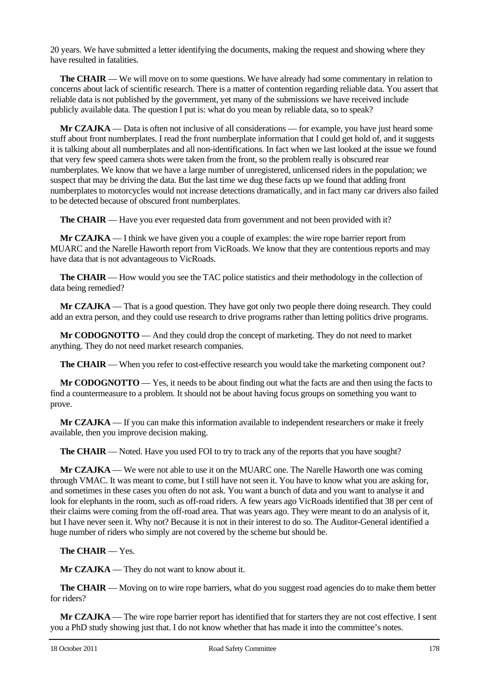20 years. We have submitted a letter identifying the documents, making the request and showing where they have resulted in fatalities.

**The CHAIR** — We will move on to some questions. We have already had some commentary in relation to concerns about lack of scientific research. There is a matter of contention regarding reliable data. You assert that reliable data is not published by the government, yet many of the submissions we have received include publicly available data. The question I put is: what do you mean by reliable data, so to speak?

**Mr CZAJKA** — Data is often not inclusive of all considerations — for example, you have just heard some stuff about front numberplates. I read the front numberplate information that I could get hold of, and it suggests it is talking about all numberplates and all non-identifications. In fact when we last looked at the issue we found that very few speed camera shots were taken from the front, so the problem really is obscured rear numberplates. We know that we have a large number of unregistered, unlicensed riders in the population; we suspect that may be driving the data. But the last time we dug these facts up we found that adding front numberplates to motorcycles would not increase detections dramatically, and in fact many car drivers also failed to be detected because of obscured front numberplates.

**The CHAIR** — Have you ever requested data from government and not been provided with it?

**Mr CZAJKA** — I think we have given you a couple of examples: the wire rope barrier report from MUARC and the Narelle Haworth report from VicRoads. We know that they are contentious reports and may have data that is not advantageous to VicRoads.

**The CHAIR** — How would you see the TAC police statistics and their methodology in the collection of data being remedied?

**Mr CZAJKA** — That is a good question. They have got only two people there doing research. They could add an extra person, and they could use research to drive programs rather than letting politics drive programs.

**Mr CODOGNOTTO** — And they could drop the concept of marketing. They do not need to market anything. They do not need market research companies.

**The CHAIR** — When you refer to cost-effective research you would take the marketing component out?

**Mr CODOGNOTTO** — Yes, it needs to be about finding out what the facts are and then using the facts to find a countermeasure to a problem. It should not be about having focus groups on something you want to prove.

**Mr CZAJKA** — If you can make this information available to independent researchers or make it freely available, then you improve decision making.

**The CHAIR** — Noted. Have you used FOI to try to track any of the reports that you have sought?

**Mr CZAJKA** — We were not able to use it on the MUARC one. The Narelle Haworth one was coming through VMAC. It was meant to come, but I still have not seen it. You have to know what you are asking for, and sometimes in these cases you often do not ask. You want a bunch of data and you want to analyse it and look for elephants in the room, such as off-road riders. A few years ago VicRoads identified that 38 per cent of their claims were coming from the off-road area. That was years ago. They were meant to do an analysis of it, but I have never seen it. Why not? Because it is not in their interest to do so. The Auditor-General identified a huge number of riders who simply are not covered by the scheme but should be.

**The CHAIR** — Yes.

**Mr CZAJKA** — They do not want to know about it.

**The CHAIR** — Moving on to wire rope barriers, what do you suggest road agencies do to make them better for riders?

**Mr CZAJKA** — The wire rope barrier report has identified that for starters they are not cost effective. I sent you a PhD study showing just that. I do not know whether that has made it into the committee's notes.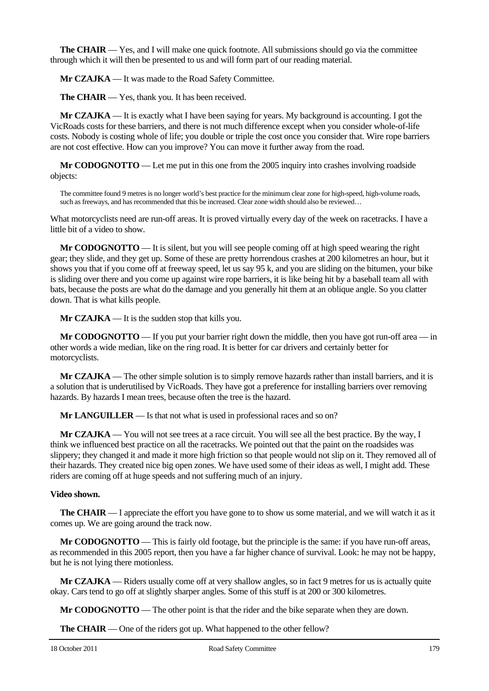**The CHAIR** — Yes, and I will make one quick footnote. All submissions should go via the committee through which it will then be presented to us and will form part of our reading material.

**Mr CZAJKA** — It was made to the Road Safety Committee.

**The CHAIR** — Yes, thank you. It has been received.

**Mr CZAJKA** — It is exactly what I have been saying for years. My background is accounting. I got the VicRoads costs for these barriers, and there is not much difference except when you consider whole-of-life costs. Nobody is costing whole of life; you double or triple the cost once you consider that. Wire rope barriers are not cost effective. How can you improve? You can move it further away from the road.

**Mr CODOGNOTTO** — Let me put in this one from the 2005 inquiry into crashes involving roadside objects:

The committee found 9 metres is no longer world's best practice for the minimum clear zone for high-speed, high-volume roads, such as freeways, and has recommended that this be increased. Clear zone width should also be reviewed...

What motorcyclists need are run-off areas. It is proved virtually every day of the week on racetracks. I have a little bit of a video to show.

**Mr CODOGNOTTO** — It is silent, but you will see people coming off at high speed wearing the right gear; they slide, and they get up. Some of these are pretty horrendous crashes at 200 kilometres an hour, but it shows you that if you come off at freeway speed, let us say 95 k, and you are sliding on the bitumen, your bike is sliding over there and you come up against wire rope barriers, it is like being hit by a baseball team all with bats, because the posts are what do the damage and you generally hit them at an oblique angle. So you clatter down. That is what kills people.

**Mr CZAJKA** — It is the sudden stop that kills you.

**Mr CODOGNOTTO** — If you put your barrier right down the middle, then you have got run-off area — in other words a wide median, like on the ring road. It is better for car drivers and certainly better for motorcyclists.

**Mr CZAJKA** — The other simple solution is to simply remove hazards rather than install barriers, and it is a solution that is underutilised by VicRoads. They have got a preference for installing barriers over removing hazards. By hazards I mean trees, because often the tree is the hazard.

**Mr LANGUILLER** — Is that not what is used in professional races and so on?

**Mr CZAJKA** — You will not see trees at a race circuit. You will see all the best practice. By the way, I think we influenced best practice on all the racetracks. We pointed out that the paint on the roadsides was slippery; they changed it and made it more high friction so that people would not slip on it. They removed all of their hazards. They created nice big open zones. We have used some of their ideas as well, I might add. These riders are coming off at huge speeds and not suffering much of an injury.

#### **Video shown.**

**The CHAIR** — I appreciate the effort you have gone to to show us some material, and we will watch it as it comes up. We are going around the track now.

**Mr CODOGNOTTO** — This is fairly old footage, but the principle is the same: if you have run-off areas, as recommended in this 2005 report, then you have a far higher chance of survival. Look: he may not be happy, but he is not lying there motionless.

**Mr CZAJKA** — Riders usually come off at very shallow angles, so in fact 9 metres for us is actually quite okay. Cars tend to go off at slightly sharper angles. Some of this stuff is at 200 or 300 kilometres.

**Mr CODOGNOTTO** — The other point is that the rider and the bike separate when they are down.

**The CHAIR** — One of the riders got up. What happened to the other fellow?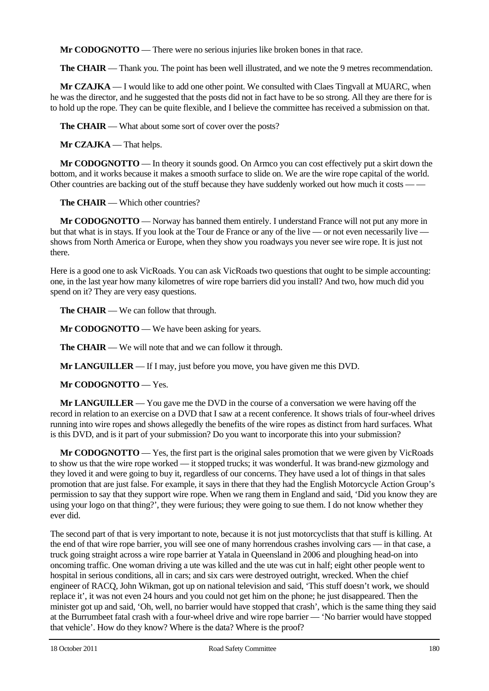**Mr CODOGNOTTO** — There were no serious injuries like broken bones in that race.

**The CHAIR** — Thank you. The point has been well illustrated, and we note the 9 metres recommendation.

**Mr CZAJKA** — I would like to add one other point. We consulted with Claes Tingvall at MUARC, when he was the director, and he suggested that the posts did not in fact have to be so strong. All they are there for is to hold up the rope. They can be quite flexible, and I believe the committee has received a submission on that.

**The CHAIR** — What about some sort of cover over the posts?

**Mr CZAJKA** — That helps.

**Mr CODOGNOTTO** — In theory it sounds good. On Armco you can cost effectively put a skirt down the bottom, and it works because it makes a smooth surface to slide on. We are the wire rope capital of the world. Other countries are backing out of the stuff because they have suddenly worked out how much it costs — —

**The CHAIR** — Which other countries?

**Mr CODOGNOTTO** — Norway has banned them entirely. I understand France will not put any more in but that what is in stays. If you look at the Tour de France or any of the live — or not even necessarily live shows from North America or Europe, when they show you roadways you never see wire rope. It is just not there.

Here is a good one to ask VicRoads. You can ask VicRoads two questions that ought to be simple accounting: one, in the last year how many kilometres of wire rope barriers did you install? And two, how much did you spend on it? They are very easy questions.

**The CHAIR** — We can follow that through.

**Mr CODOGNOTTO** — We have been asking for years.

**The CHAIR** — We will note that and we can follow it through.

**Mr LANGUILLER** — If I may, just before you move, you have given me this DVD.

**Mr CODOGNOTTO** — Yes.

**Mr LANGUILLER** — You gave me the DVD in the course of a conversation we were having off the record in relation to an exercise on a DVD that I saw at a recent conference. It shows trials of four-wheel drives running into wire ropes and shows allegedly the benefits of the wire ropes as distinct from hard surfaces. What is this DVD, and is it part of your submission? Do you want to incorporate this into your submission?

**Mr CODOGNOTTO** — Yes, the first part is the original sales promotion that we were given by VicRoads to show us that the wire rope worked — it stopped trucks; it was wonderful. It was brand-new gizmology and they loved it and were going to buy it, regardless of our concerns. They have used a lot of things in that sales promotion that are just false. For example, it says in there that they had the English Motorcycle Action Group's permission to say that they support wire rope. When we rang them in England and said, 'Did you know they are using your logo on that thing?', they were furious; they were going to sue them. I do not know whether they ever did.

The second part of that is very important to note, because it is not just motorcyclists that that stuff is killing. At the end of that wire rope barrier, you will see one of many horrendous crashes involving cars — in that case, a truck going straight across a wire rope barrier at Yatala in Queensland in 2006 and ploughing head-on into oncoming traffic. One woman driving a ute was killed and the ute was cut in half; eight other people went to hospital in serious conditions, all in cars; and six cars were destroyed outright, wrecked. When the chief engineer of RACQ, John Wikman, got up on national television and said, 'This stuff doesn't work, we should replace it', it was not even 24 hours and you could not get him on the phone; he just disappeared. Then the minister got up and said, 'Oh, well, no barrier would have stopped that crash', which is the same thing they said at the Burrumbeet fatal crash with a four-wheel drive and wire rope barrier — 'No barrier would have stopped that vehicle'. How do they know? Where is the data? Where is the proof?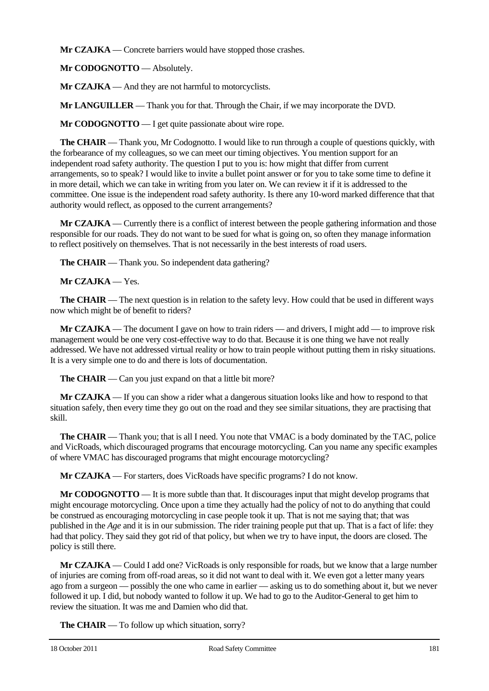**Mr CZAJKA** — Concrete barriers would have stopped those crashes.

**Mr CODOGNOTTO** — Absolutely.

**Mr CZAJKA** — And they are not harmful to motorcyclists.

**Mr LANGUILLER** — Thank you for that. Through the Chair, if we may incorporate the DVD.

**Mr CODOGNOTTO** — I get quite passionate about wire rope.

**The CHAIR** — Thank you, Mr Codognotto. I would like to run through a couple of questions quickly, with the forbearance of my colleagues, so we can meet our timing objectives. You mention support for an independent road safety authority. The question I put to you is: how might that differ from current arrangements, so to speak? I would like to invite a bullet point answer or for you to take some time to define it in more detail, which we can take in writing from you later on. We can review it if it is addressed to the committee. One issue is the independent road safety authority. Is there any 10-word marked difference that that authority would reflect, as opposed to the current arrangements?

**Mr CZAJKA** — Currently there is a conflict of interest between the people gathering information and those responsible for our roads. They do not want to be sued for what is going on, so often they manage information to reflect positively on themselves. That is not necessarily in the best interests of road users.

**The CHAIR** — Thank you. So independent data gathering?

**Mr CZAJKA** — Yes.

**The CHAIR** — The next question is in relation to the safety levy. How could that be used in different ways now which might be of benefit to riders?

**Mr CZAJKA** — The document I gave on how to train riders — and drivers, I might add — to improve risk management would be one very cost-effective way to do that. Because it is one thing we have not really addressed. We have not addressed virtual reality or how to train people without putting them in risky situations. It is a very simple one to do and there is lots of documentation.

**The CHAIR** — Can you just expand on that a little bit more?

**Mr CZAJKA** — If you can show a rider what a dangerous situation looks like and how to respond to that situation safely, then every time they go out on the road and they see similar situations, they are practising that skill.

**The CHAIR** — Thank you; that is all I need. You note that VMAC is a body dominated by the TAC, police and VicRoads, which discouraged programs that encourage motorcycling. Can you name any specific examples of where VMAC has discouraged programs that might encourage motorcycling?

**Mr CZAJKA** — For starters, does VicRoads have specific programs? I do not know.

**Mr CODOGNOTTO** — It is more subtle than that. It discourages input that might develop programs that might encourage motorcycling. Once upon a time they actually had the policy of not to do anything that could be construed as encouraging motorcycling in case people took it up. That is not me saying that; that was published in the *Age* and it is in our submission. The rider training people put that up. That is a fact of life: they had that policy. They said they got rid of that policy, but when we try to have input, the doors are closed. The policy is still there.

**Mr CZAJKA** — Could I add one? VicRoads is only responsible for roads, but we know that a large number of injuries are coming from off-road areas, so it did not want to deal with it. We even got a letter many years ago from a surgeon — possibly the one who came in earlier — asking us to do something about it, but we never followed it up. I did, but nobody wanted to follow it up. We had to go to the Auditor-General to get him to review the situation. It was me and Damien who did that.

**The CHAIR** — To follow up which situation, sorry?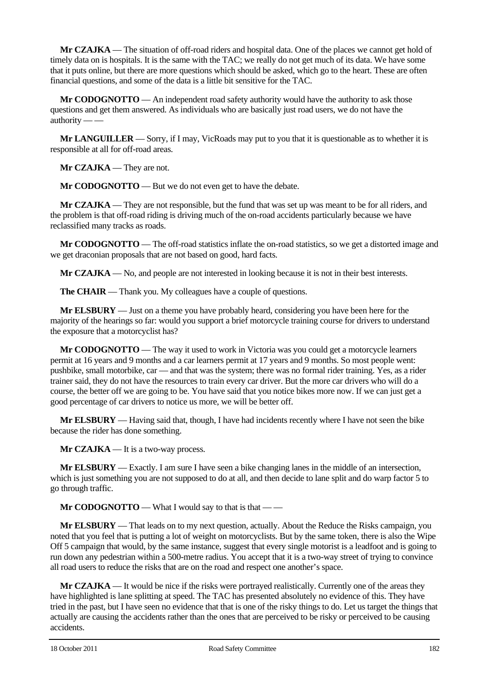**Mr CZAJKA** — The situation of off-road riders and hospital data. One of the places we cannot get hold of timely data on is hospitals. It is the same with the TAC; we really do not get much of its data. We have some that it puts online, but there are more questions which should be asked, which go to the heart. These are often financial questions, and some of the data is a little bit sensitive for the TAC.

**Mr CODOGNOTTO** — An independent road safety authority would have the authority to ask those questions and get them answered. As individuals who are basically just road users, we do not have the authority -

**Mr LANGUILLER** — Sorry, if I may, VicRoads may put to you that it is questionable as to whether it is responsible at all for off-road areas.

**Mr CZAJKA** — They are not.

**Mr CODOGNOTTO** — But we do not even get to have the debate.

**Mr CZAJKA** — They are not responsible, but the fund that was set up was meant to be for all riders, and the problem is that off-road riding is driving much of the on-road accidents particularly because we have reclassified many tracks as roads.

**Mr CODOGNOTTO** — The off-road statistics inflate the on-road statistics, so we get a distorted image and we get draconian proposals that are not based on good, hard facts.

**Mr CZAJKA** — No, and people are not interested in looking because it is not in their best interests.

**The CHAIR** — Thank you. My colleagues have a couple of questions.

**Mr ELSBURY** — Just on a theme you have probably heard, considering you have been here for the majority of the hearings so far: would you support a brief motorcycle training course for drivers to understand the exposure that a motorcyclist has?

**Mr CODOGNOTTO** — The way it used to work in Victoria was you could get a motorcycle learners permit at 16 years and 9 months and a car learners permit at 17 years and 9 months. So most people went: pushbike, small motorbike, car — and that was the system; there was no formal rider training. Yes, as a rider trainer said, they do not have the resources to train every car driver. But the more car drivers who will do a course, the better off we are going to be. You have said that you notice bikes more now. If we can just get a good percentage of car drivers to notice us more, we will be better off.

**Mr ELSBURY** — Having said that, though, I have had incidents recently where I have not seen the bike because the rider has done something.

**Mr CZAJKA** — It is a two-way process.

**Mr ELSBURY** — Exactly. I am sure I have seen a bike changing lanes in the middle of an intersection, which is just something you are not supposed to do at all, and then decide to lane split and do warp factor 5 to go through traffic.

**Mr CODOGNOTTO** — What I would say to that is that — —

**Mr ELSBURY** — That leads on to my next question, actually. About the Reduce the Risks campaign, you noted that you feel that is putting a lot of weight on motorcyclists. But by the same token, there is also the Wipe Off 5 campaign that would, by the same instance, suggest that every single motorist is a leadfoot and is going to run down any pedestrian within a 500-metre radius. You accept that it is a two-way street of trying to convince all road users to reduce the risks that are on the road and respect one another's space.

**Mr CZAJKA** — It would be nice if the risks were portrayed realistically. Currently one of the areas they have highlighted is lane splitting at speed. The TAC has presented absolutely no evidence of this. They have tried in the past, but I have seen no evidence that that is one of the risky things to do. Let us target the things that actually are causing the accidents rather than the ones that are perceived to be risky or perceived to be causing accidents.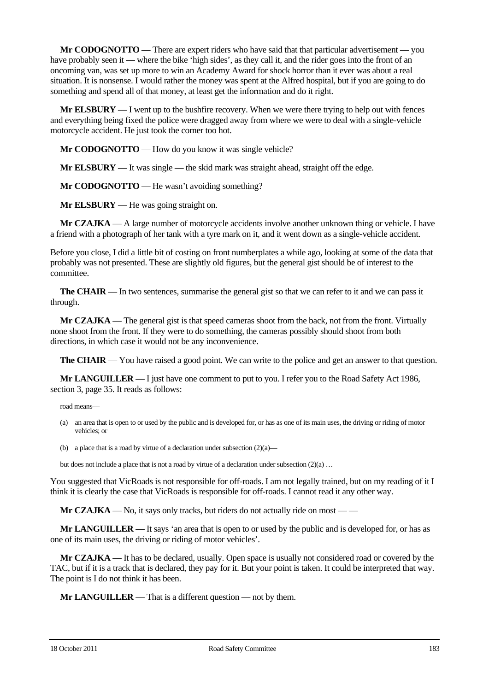**Mr CODOGNOTTO** — There are expert riders who have said that that particular advertisement — you have probably seen it — where the bike 'high sides', as they call it, and the rider goes into the front of an oncoming van, was set up more to win an Academy Award for shock horror than it ever was about a real situation. It is nonsense. I would rather the money was spent at the Alfred hospital, but if you are going to do something and spend all of that money, at least get the information and do it right.

**Mr ELSBURY** — I went up to the bushfire recovery. When we were there trying to help out with fences and everything being fixed the police were dragged away from where we were to deal with a single-vehicle motorcycle accident. He just took the corner too hot.

**Mr CODOGNOTTO** — How do you know it was single vehicle?

**Mr ELSBURY** — It was single — the skid mark was straight ahead, straight off the edge.

**Mr CODOGNOTTO** — He wasn't avoiding something?

**Mr ELSBURY** — He was going straight on.

**Mr CZAJKA** — A large number of motorcycle accidents involve another unknown thing or vehicle. I have a friend with a photograph of her tank with a tyre mark on it, and it went down as a single-vehicle accident.

Before you close, I did a little bit of costing on front numberplates a while ago, looking at some of the data that probably was not presented. These are slightly old figures, but the general gist should be of interest to the committee.

**The CHAIR** — In two sentences, summarise the general gist so that we can refer to it and we can pass it through.

**Mr CZAJKA** — The general gist is that speed cameras shoot from the back, not from the front. Virtually none shoot from the front. If they were to do something, the cameras possibly should shoot from both directions, in which case it would not be any inconvenience.

**The CHAIR** — You have raised a good point. We can write to the police and get an answer to that question.

**Mr LANGUILLER** — I just have one comment to put to you. I refer you to the Road Safety Act 1986, section 3, page 35. It reads as follows:

road means—

- (a) an area that is open to or used by the public and is developed for, or has as one of its main uses, the driving or riding of motor vehicles; or
- (b) a place that is a road by virtue of a declaration under subsection  $(2)(a)$ —

but does not include a place that is not a road by virtue of a declaration under subsection  $(2)(a) \dots$ 

You suggested that VicRoads is not responsible for off-roads. I am not legally trained, but on my reading of it I think it is clearly the case that VicRoads is responsible for off-roads. I cannot read it any other way.

**Mr CZAJKA** — No, it says only tracks, but riders do not actually ride on most — —

**Mr LANGUILLER** — It says 'an area that is open to or used by the public and is developed for, or has as one of its main uses, the driving or riding of motor vehicles'.

**Mr CZAJKA** — It has to be declared, usually. Open space is usually not considered road or covered by the TAC, but if it is a track that is declared, they pay for it. But your point is taken. It could be interpreted that way. The point is I do not think it has been.

**Mr LANGUILLER** — That is a different question — not by them.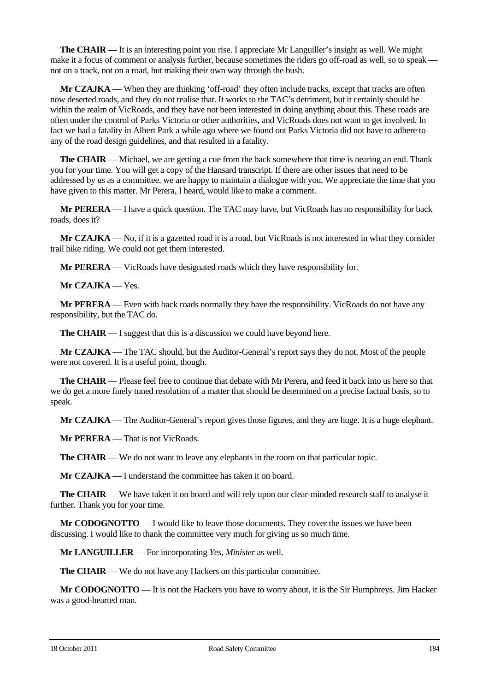**The CHAIR** — It is an interesting point you rise. I appreciate Mr Languiller's insight as well. We might make it a focus of comment or analysis further, because sometimes the riders go off-road as well, so to speak not on a track, not on a road, but making their own way through the bush.

**Mr CZAJKA** — When they are thinking 'off-road' they often include tracks, except that tracks are often now deserted roads, and they do not realise that. It works to the TAC's detriment, but it certainly should be within the realm of VicRoads, and they have not been interested in doing anything about this. These roads are often under the control of Parks Victoria or other authorities, and VicRoads does not want to get involved. In fact we had a fatality in Albert Park a while ago where we found out Parks Victoria did not have to adhere to any of the road design guidelines, and that resulted in a fatality.

**The CHAIR** — Michael, we are getting a cue from the back somewhere that time is nearing an end. Thank you for your time. You will get a copy of the Hansard transcript. If there are other issues that need to be addressed by us as a committee, we are happy to maintain a dialogue with you. We appreciate the time that you have given to this matter. Mr Perera, I heard, would like to make a comment.

**Mr PERERA** — I have a quick question. The TAC may have, but VicRoads has no responsibility for back roads, does it?

**Mr CZAJKA** — No, if it is a gazetted road it is a road, but VicRoads is not interested in what they consider trail bike riding. We could not get them interested.

**Mr PERERA** — VicRoads have designated roads which they have responsibility for.

**Mr CZAJKA** — Yes.

**Mr PERERA** — Even with back roads normally they have the responsibility. VicRoads do not have any responsibility, but the TAC do.

**The CHAIR** — I suggest that this is a discussion we could have beyond here.

**Mr CZAJKA** — The TAC should, but the Auditor-General's report says they do not. Most of the people were not covered. It is a useful point, though.

**The CHAIR** — Please feel free to continue that debate with Mr Perera, and feed it back into us here so that we do get a more finely tuned resolution of a matter that should be determined on a precise factual basis, so to speak.

**Mr CZAJKA** — The Auditor-General's report gives those figures, and they are huge. It is a huge elephant.

**Mr PERERA** — That is not VicRoads.

**The CHAIR** — We do not want to leave any elephants in the room on that particular topic.

**Mr CZAJKA** — I understand the committee has taken it on board.

**The CHAIR** — We have taken it on board and will rely upon our clear-minded research staff to analyse it further. Thank you for your time.

**Mr CODOGNOTTO** — I would like to leave those documents. They cover the issues we have been discussing. I would like to thank the committee very much for giving us so much time.

**Mr LANGUILLER** — For incorporating *Yes, Minister* as well.

**The CHAIR** — We do not have any Hackers on this particular committee.

**Mr CODOGNOTTO** — It is not the Hackers you have to worry about, it is the Sir Humphreys. Jim Hacker was a good-hearted man.